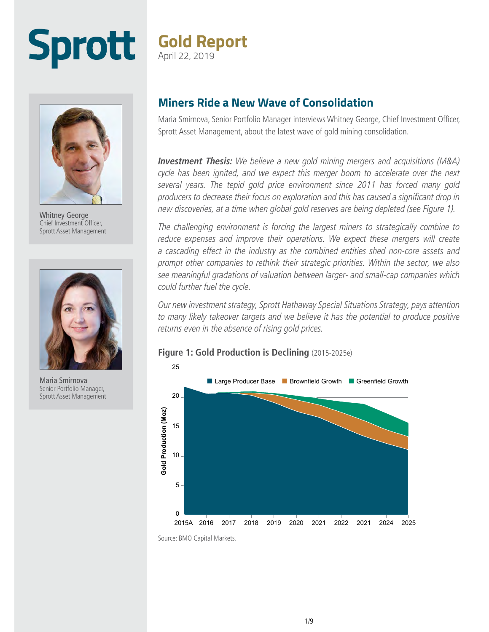# **Sprott**

## **Gold Report** April 22, 2019



Whitney George Chief Investment Officer, Sprott Asset Management



Maria Smirnova Senior Portfolio Manager, Sprott Asset Management

### **Miners Ride a New Wave of Consolidation**

Maria Smirnova, Senior Portfolio Manager interviews Whitney George, Chief Investment Officer, Sprott Asset Management, about the latest wave of gold mining consolidation.

*Investment Thesis: We believe a new gold mining mergers and acquisitions (M&A) cycle has been ignited, and we expect this merger boom to accelerate over the next several years. The tepid gold price environment since 2011 has forced many gold producers to decrease their focus on exploration and this has caused a significant drop in new discoveries, at a time when global gold reserves are being depleted (see Figure 1).* 

*The challenging environment is forcing the largest miners to strategically combine to*  reduce expenses and improve their operations. We expect these mergers will create *a cascading effect in the industry as the combined entities shed non-core assets and prompt other companies to rethink their strategic priorities. Within the sector, we also see meaningful gradations of valuation between larger- and small-cap companies which could further fuel the cycle.* 

*Our new investment strategy, Sprott Hathaway Special Situations Strategy, pays attention*  to many likely takeover targets and we believe it has the potential to produce positive *returns even in the absence of rising gold prices.*

#### **Figure 1: Gold Production is Declining** (2015-2025e)



Source: BMO Capital Markets.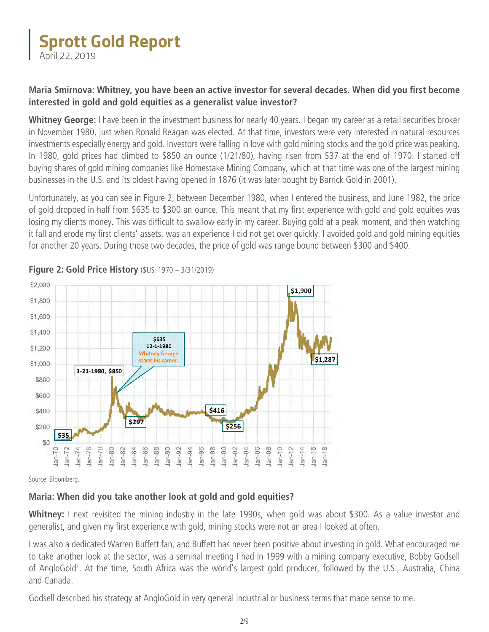#### **Maria Smirnova: Whitney, you have been an active investor for several decades. When did you first become interested in gold and gold equities as a generalist value investor?**

**Whitney George:** I have been in the investment business for nearly 40 years. I began my career as a retail securities broker in November 1980, just when Ronald Reagan was elected. At that time, investors were very interested in natural resources investments especially energy and gold. Investors were falling in love with gold mining stocks and the gold price was peaking. In 1980, gold prices had climbed to \$850 an ounce (1/21/80), having risen from \$37 at the end of 1970. I started off buying shares of gold mining companies like Homestake Mining Company, which at that time was one of the largest mining businesses in the U.S. and its oldest having opened in 1876 (it was later bought by Barrick Gold in [2001\).](https://www.barrick.com/news/news-details/2001/Barrick-Completes-Merger-with-Homestake/default.aspx)

Unfortunately, as you can see in Figure 2, between December 1980, when I entered the business, and June 1982, the price of gold dropped in half from \$635 to \$300 an ounce. This meant that my first experience with gold and gold equities was losing my clients money. This was difficult to swallow early in my career. Buying gold at a peak moment, and then watching it fall and erode my first clients' assets, was an experience I did not get over quickly. I avoided gold and gold mining equities for another 20 years. During those two decades, the price of gold was range bound between \$300 and \$400.



#### **Figure 2: Gold Price History** (\$US, 1970 – 3/31/2019)

Source: Bloomberg.

#### **Maria: When did you take another look at gold and gold equities?**

**Whitney:** I next revisited the mining industry in the late 1990s, when gold was about \$300. As a value investor and generalist, and given my first experience with gold, mining stocks were not an area I looked at often.

I was also a dedicated Warren Buffett fan, and Buffett has never been positive about investing in gold. What encouraged me to take another look at the sector, was a seminal meeting I had in 1999 with a mining company executive, Bobby Godsell of AngloGold<sup>1</sup>. At the time, South Africa was the world's largest gold producer, followed by the U.S., Australia, China and Canada.

Godsell described his strategy at AngloGold in very general industrial or business terms that made sense to me.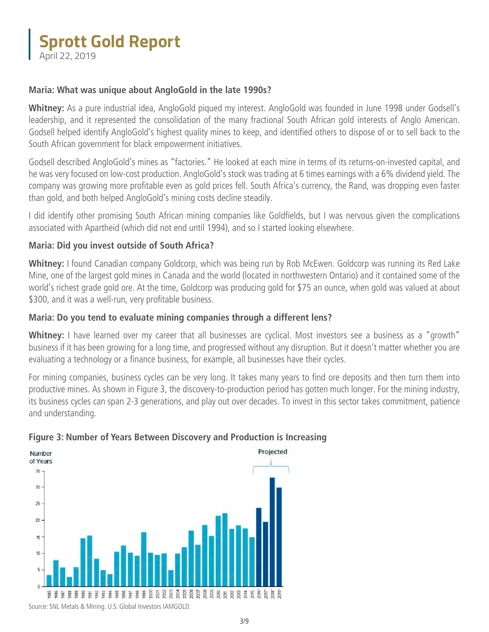

#### **Maria: What was unique about AngloGold in the late 1990s?**

**Whitney:** As a pure industrial idea, AngloGold piqued my interest. AngloGold was founded in June 1998 under Godsell's leadership, and it represented the consolidation of the many fractional South African gold interests of Anglo American. Godsell helped identify AngloGold's highest quality mines to keep, and identified others to dispose of or to sell back to the South African government for black empowerment initiatives.

Godsell described AngloGold's mines as "factories." He looked at each mine in terms of its returns-on-invested capital, and he was very focused on low-cost production. AngloGold's stock was trading at 6 times earnings with a 6% dividend yield. The company was growing more profitable even as gold prices fell. South Africa's currency, the Rand, was dropping even faster than gold, and both helped AngloGold's mining costs decline steadily.

I did identify other promising South African mining companies like Goldfields, but I was nervous given the complications associated with Apartheid (which did not end until 1994), and so I started looking elsewhere.

#### **Maria: Did you invest outside of South Africa?**

**Whitney:** I found Canadian company Goldcorp, which was being run by Rob McEwen. Goldcorp was running its Red Lake Mine, one of the largest gold mines in Canada and the world (located in northwestern Ontario) and it contained some of the world's richest grade gold ore. At the time, Goldcorp was producing gold for \$75 an ounce, when gold was valued at about \$300, and it was a well-run, very profitable business.

#### **Maria: Do you tend to evaluate mining companies through a different lens?**

**Whitney:** I have learned over my career that all businesses are cyclical. Most investors see a business as a "growth" business if it has been growing for a long time, and progressed without any disruption. But it doesn't matter whether you are evaluating a technology or a finance business, for example, all businesses have their cycles.

For mining companies, business cycles can be very long. It takes many years to find ore deposits and then turn them into productive mines. As shown in Figure 3, the discovery-to-production period has gotten much longer. For the mining industry, its business cycles can span 2-3 generations, and play out over decades. To invest in this sector takes commitment, patience and understanding.



#### **Figure 3: Number of Years Between Discovery and Production is Increasing**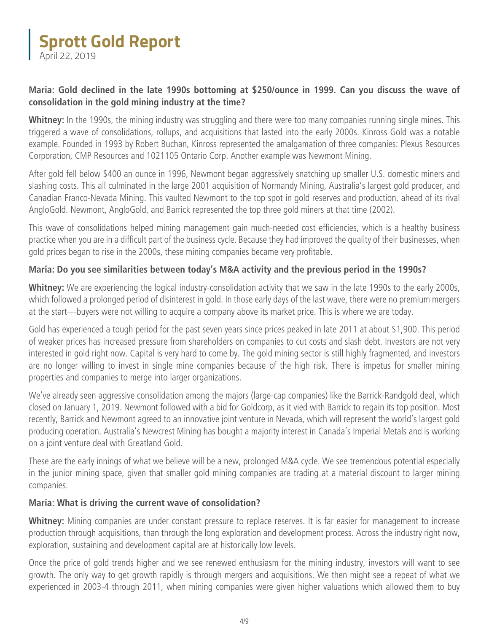#### **Maria: Gold declined in the late 1990s bottoming at \$250/ounce in 1999. Can you discuss the wave of consolidation in the gold mining industry at the time?**

**Whitney:** In the 1990s, the mining industry was struggling and there were too many companies running single mines. This triggered a wave of consolidations, rollups, and acquisitions that lasted into the early 2000s. Kinross Gold was a notable example. Founded in 1993 by Robert Buchan, Kinross represented the amalgamation of three companies: Plexus Resources Corporation, CMP Resources and 1021105 Ontario Corp. Another example was Newmont Mining.

After gold fell below \$400 an ounce in 1996, Newmont began aggressively snatching up smaller U.S. domestic miners and slashing costs. This all culminated in the large 2001 acquisition of Normandy Mining, Australia's largest gold producer, and Canadian Franco-Nevada Mining. This vaulted Newmont to the top spot in gold reserves and production, ahead of its rival AngloGold. Newmont, AngloGold, and Barrick represented the top three gold miners at that time (2002).

This wave of consolidations helped mining management gain much-needed cost efficiencies, which is a healthy business practice when you are in a difficult part of the business cycle. Because they had improved the quality of their businesses, when gold prices began to rise in the 2000s, these mining companies became very profitable.

#### **Maria: Do you see similarities between today's M&A activity and the previous period in the 1990s?**

**Whitney:** We are experiencing the logical industry-consolidation activity that we saw in the late 1990s to the early 2000s, which followed a prolonged period of disinterest in gold. In those early days of the last wave, there were no premium mergers at the start—buyers were not willing to acquire a company above its market price. This is where we are today.

Gold has experienced a tough period for the past seven years since prices peaked in late 2011 at about \$1,900. This period of weaker prices has increased pressure from shareholders on companies to cut costs and slash debt. Investors are not very interested in gold right now. Capital is very hard to come by. The gold mining sector is still highly fragmented, and investors are no longer willing to invest in single mine companies because of the high risk. There is impetus for smaller mining properties and companies to merge into larger organizations.

We've already seen aggressive consolidation among the majors (large-cap companies) like the Barrick-Randgold deal, which closed on January 1, 2019. Newmont followed with a bid for Goldcorp, as it vied with Barrick to regain its top position. Most recently, Barrick and Newmont agreed to an innovative joint venture in Nevada, which will represent the world's largest gold producing operation. Australia's Newcrest Mining has bought a majority interest in Canada's Imperial Metals and is working on a joint venture deal with Greatland Gold.

These are the early innings of what we believe will be a new, prolonged M&A cycle. We see tremendous potential especially in the junior mining space, given that smaller gold mining companies are trading at a material discount to larger mining companies.

#### **Maria: What is driving the current wave of consolidation?**

**Whitney:** Mining companies are under constant pressure to replace reserves. It is far easier for management to increase production through acquisitions, than through the long exploration and development process. Across the industry right now, exploration, sustaining and development capital are at historically low levels.

Once the price of gold trends higher and we see renewed enthusiasm for the mining industry, investors will want to see growth. The only way to get growth rapidly is through mergers and acquisitions. We then might see a repeat of what we experienced in 2003-4 through 2011, when mining companies were given higher valuations which allowed them to buy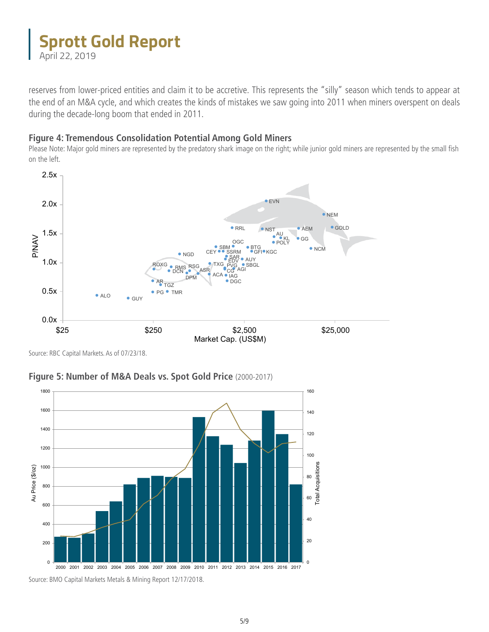reserves from lower-priced entities and claim it to be accretive. This represents the "silly" season which tends to appear at the end of an M&A cycle, and which creates the kinds of mistakes we saw going into 2011 when miners overspent on deals during the decade-long boom that ended in 2011.

#### **Figure 4: Tremendous Consolidation Potential Among Gold Miners**

Please Note: Major gold miners are represented by the predatory shark image on the right; while junior gold miners are represented by the small fish on the left.



Source: RBC Capital Markets. As of 07/23/18.





Source: BMO Capital Markets Metals & Mining Report 12/17/2018.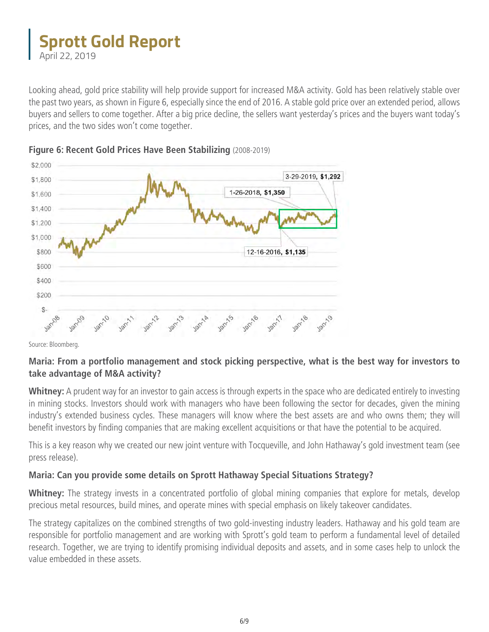Looking ahead, gold price stability will help provide support for increased M&A activity. Gold has been relatively stable over the past two years, as shown in Figure 6, especially since the end of 2016. A stable gold price over an extended period, allows buyers and sellers to come together. After a big price decline, the sellers want yesterday's prices and the buyers want today's prices, and the two sides won't come together.





Source: Bloomberg.

#### **Maria: From a portfolio management and stock picking perspective, what is the best way for investors to take advantage of M&A activity?**

**Whitney:** A prudent way for an investor to gain access is through experts in the space who are dedicated entirely to investing in mining stocks. Investors should work with managers who have been following the sector for decades, given the mining industry's extended business cycles. These managers will know where the best assets are and who owns them; they will benefit investors by finding companies that are making excellent acquisitions or that have the potential to be acquired.

[This is a key reason why we created our new joint venture with Tocqueville, and John Hathaway's gold investment team \(see](http://sprott.com/investor-relations/press-releases/sprott-and-tocqueville-asset-management-announce-joint-venture/)  press release).

#### **Maria: Can you provide some details on Sprott Hathaway Special Situations Strategy?**

**Whitney:** The strategy invests in a concentrated portfolio of global mining companies that explore for metals, develop precious metal resources, build mines, and operate mines with special emphasis on likely takeover candidates.

The strategy capitalizes on the combined strengths of two gold-investing industry leaders. Hathaway and his gold team are responsible for portfolio management and are working with Sprott's gold team to perform a fundamental level of detailed research. Together, we are trying to identify promising individual deposits and assets, and in some cases help to unlock the value embedded in these assets.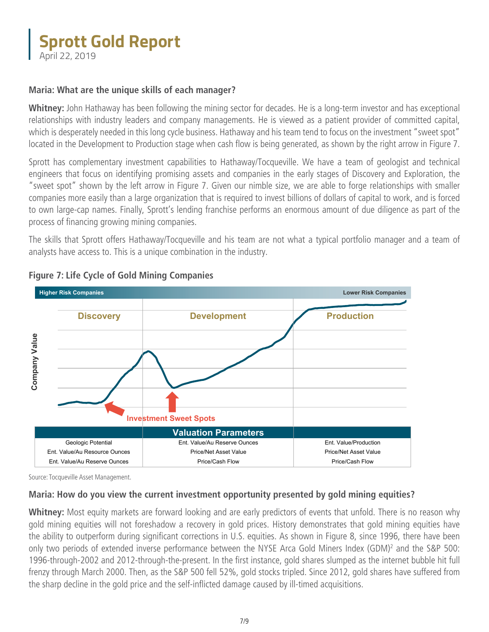#### **Maria: What are the unique skills of each manager?**

**Whitney:** John Hathaway has been following the mining sector for decades. He is a long-term investor and has exceptional relationships with industry leaders and company managements. He is viewed as a patient provider of committed capital, which is desperately needed in this long cycle business. Hathaway and his team tend to focus on the investment "sweet spot" located in the Development to Production stage when cash flow is being generated, as shown by the right arrow in Figure 7.

Sprott has complementary investment capabilities to Hathaway/Tocqueville. We have a team of geologist and technical engineers that focus on identifying promising assets and companies in the early stages of Discovery and Exploration, the "sweet spot" shown by the left arrow in Figure 7. Given our nimble size, we are able to forge relationships with smaller companies more easily than a large organization that is required to invest billions of dollars of capital to work, and is forced to own large-cap names. Finally, Sprott's lending franchise performs an enormous amount of due diligence as part of the process of financing growing mining companies.

The skills that Sprott offers Hathaway/Tocqueville and his team are not what a typical portfolio manager and a team of analysts have access to. This is a unique combination in the industry.



#### **Figure 7: Life Cycle of Gold Mining Companies**

Source: Tocqueville Asset Management.

#### **Maria: How do you view the current investment opportunity presented by gold mining equities?**

**Whitney:** Most equity markets are forward looking and are early predictors of events that unfold. There is no reason why gold mining equities will not foreshadow a recovery in gold prices. History demonstrates that gold mining equities have the ability to outperform during significant corrections in U.S. equities. As shown in Figure 8, since 1996, there have been only two periods of extended inverse performance between the NYSE Arca Gold Miners Index (GDM)2 and the S&P 500: 1996-through-2002 and 2012-through-the-present. In the first instance, gold shares slumped as the internet bubble hit full frenzy through March 2000. Then, as the S&P 500 fell 52%, gold stocks tripled. Since 2012, gold shares have suffered from the sharp decline in the gold price and the self-inflicted damage caused by ill-timed acquisitions.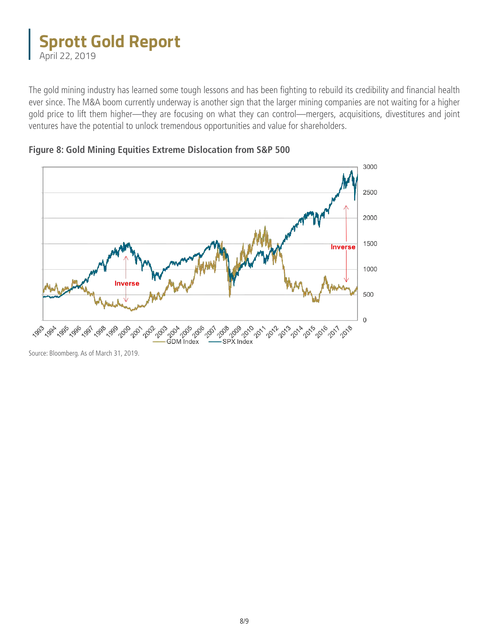The gold mining industry has learned some tough lessons and has been fighting to rebuild its credibility and financial health ever since. The M&A boom currently underway is another sign that the larger mining companies are not waiting for a higher gold price to lift them higher—they are focusing on what they can control—mergers, acquisitions, divestitures and joint ventures have the potential to unlock tremendous opportunities and value for shareholders.





Source: Bloomberg. As of March 31, 2019.